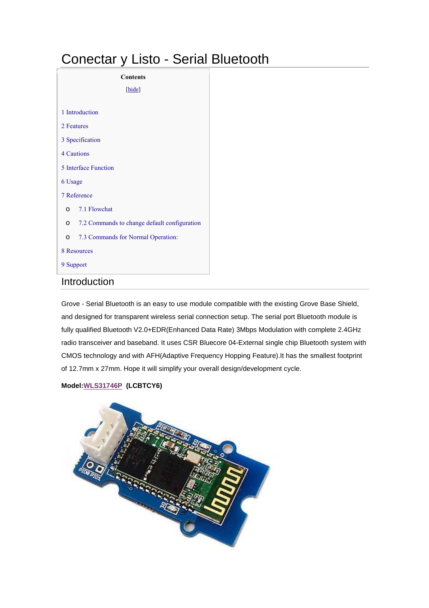# Conectar y Listo - Serial Bluetooth

| <b>Contents</b>                                         |  |  |
|---------------------------------------------------------|--|--|
| [hide]                                                  |  |  |
| 1 Introduction                                          |  |  |
| 2 Features                                              |  |  |
| 3 Specification                                         |  |  |
| <b>4 Cautions</b>                                       |  |  |
| 5 Interface Function                                    |  |  |
| 6 Usage                                                 |  |  |
| 7 Reference                                             |  |  |
| 7.1 Flowchat<br>$\Omega$                                |  |  |
| 7.2 Commands to change default configuration<br>$\circ$ |  |  |
| 7.3 Commands for Normal Operation:<br>$\Omega$          |  |  |
| 8 Resources                                             |  |  |
| 9 Support                                               |  |  |

# Introduction

Grove - Serial Bluetooth is an easy to use module compatible with the existing Grove Base Shield, and designed for transparent wireless serial connection setup. The serial port Bluetooth module is fully qualified Bluetooth V2.0+EDR(Enhanced Data Rate) 3Mbps Modulation with complete 2.4GHz radio transceiver and baseband. It uses CSR Bluecore 04-External single chip Bluetooth system with CMOS technology and with AFH(Adaptive Frequency Hopping Feature).It has the smallest footprint of 12.7mm x 27mm. Hope it will simplify your overall design/development cycle.

#### **Model:WLS31746P (LCBTCY6)**

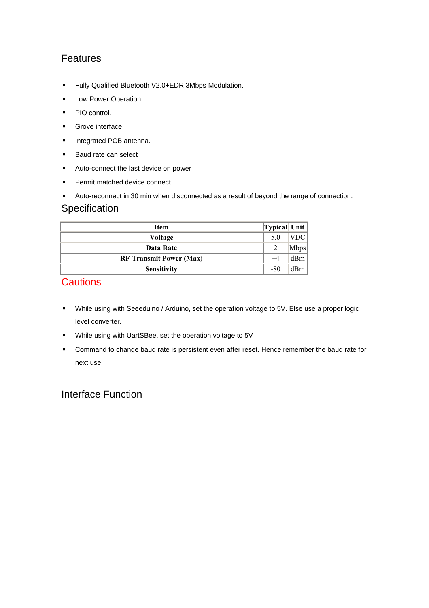## Features

- Fully Qualified Bluetooth V2.0+EDR 3Mbps Modulation.
- **Low Power Operation.**
- PIO control.
- **Grove interface**
- **Integrated PCB antenna.**
- **Baud rate can select**
- **Auto-connect the last device on power**
- **Permit matched device connect**
- Auto-reconnect in 30 min when disconnected as a result of beyond the range of connection.

### **Specification**

| Item                           | Typical  Unit  |             |
|--------------------------------|----------------|-------------|
| Voltage                        | 5.0            | <b>VDC</b>  |
| Data Rate                      | $\overline{2}$ | <b>Mbps</b> |
| <b>RF Transmit Power (Max)</b> | $^{+4}$        | dBm         |
| <b>Sensitivity</b>             | $-80$          | dBm         |

# **Cautions**

- While using with Seeeduino / Arduino, set the operation voltage to 5V. Else use a proper logic level converter.
- While using with UartSBee, set the operation voltage to 5V
- **•** Command to change baud rate is persistent even after reset. Hence remember the baud rate for next use.

### Interface Function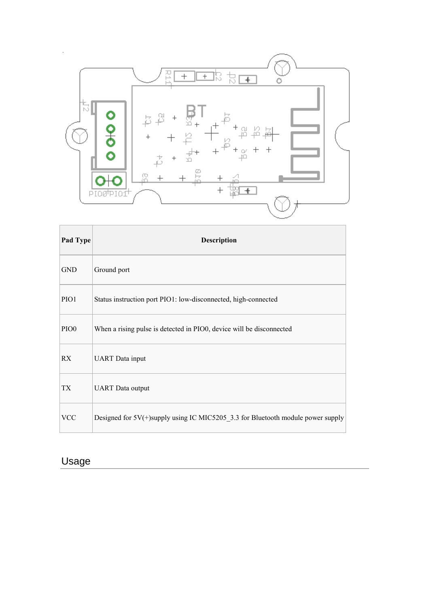

| Pad Type         | <b>Description</b>                                                                 |
|------------------|------------------------------------------------------------------------------------|
| <b>GND</b>       | Ground port                                                                        |
| PIO1             | Status instruction port PIO1: low-disconnected, high-connected                     |
| PIO <sub>0</sub> | When a rising pulse is detected in PIO0, device will be disconnected               |
| <b>RX</b>        | <b>UART</b> Data input                                                             |
| <b>TX</b>        | <b>UART</b> Data output                                                            |
| <b>VCC</b>       | Designed for $5V(+)$ supply using IC MIC5205_3.3 for Bluetooth module power supply |

# Usage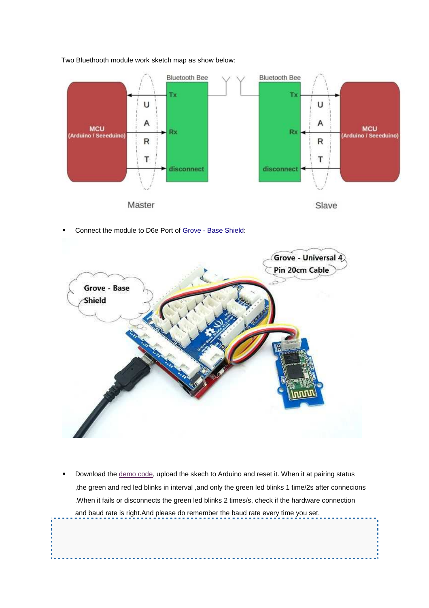

Two Bluethooth module work sketch map as show below:

Connect the module to D6e Port of Grove - Base Shield:



 Download the demo code, upload the skech to Arduino and reset it. When it at pairing status ,the green and red led blinks in interval ,and only the green led blinks 1 time/2s after connecions .When it fails or disconnects the green led blinks 2 times/s, check if the hardware connection and baud rate is right.And please do remember the baud rate every time you set.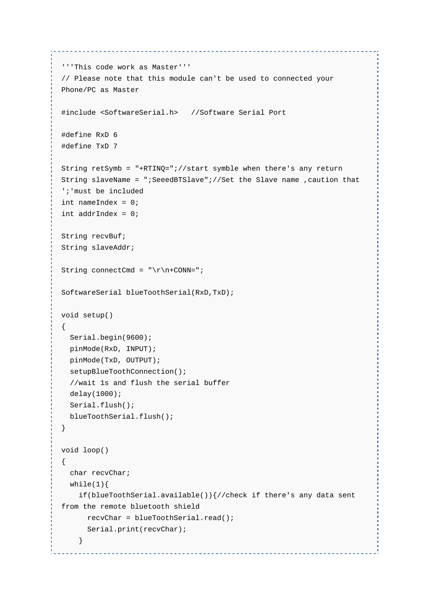```
'''This code work as Master''' 
// Please note that this module can't be used to connected your 
Phone/PC as Master 
#include <SoftwareSerial.h> //Software Serial Port 
#define RxD 6 
#define TxD 7 
String retSymb = "+RTINQ=";//start symble when there's any return 
String slaveName = ";SeeedBTSlave";//Set the Slave name ,caution that 
';'must be included 
int nameIndex = 0;int addrIndex = 0; 
String recvBuf; 
String slaveAddr; 
String connectCmd = "\r\n+CONN=";
SoftwareSerial blueToothSerial(RxD,TxD); 
void setup() 
{ 
   Serial.begin(9600); 
   pinMode(RxD, INPUT); 
   pinMode(TxD, OUTPUT); 
   setupBlueToothConnection(); 
   //wait 1s and flush the serial buffer 
   delay(1000); 
   Serial.flush(); 
   blueToothSerial.flush(); 
} 
void loop() 
{ 
   char recvChar; 
  while(1)\{ if(blueToothSerial.available()){//check if there's any data sent 
from the remote bluetooth shield 
      recvChar = blueToothSerial.read(); 
       Serial.print(recvChar); 
     }
```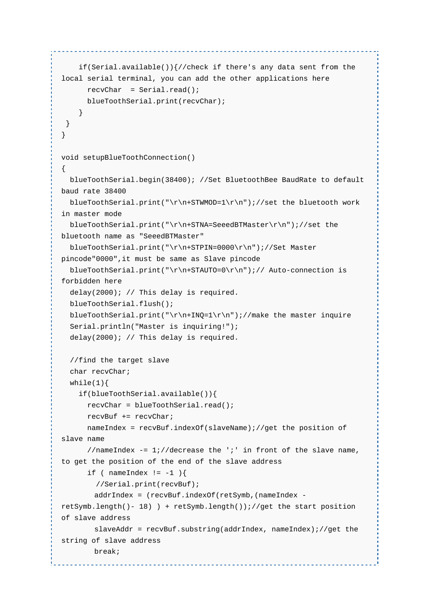```
 if(Serial.available()){//check if there's any data sent from the 
local serial terminal, you can add the other applications here 
      recvChar = Serial.read();
       blueToothSerial.print(recvChar); 
     } 
  } 
} 
void setupBlueToothConnection() 
{ 
   blueToothSerial.begin(38400); //Set BluetoothBee BaudRate to default 
baud rate 38400 
   blueToothSerial.print("\r\n+STWMOD=1\r\n");//set the bluetooth work 
in master mode 
   blueToothSerial.print("\r\n+STNA=SeeedBTMaster\r\n");//set the 
bluetooth name as "SeeedBTMaster" 
   blueToothSerial.print("\r\n+STPIN=0000\r\n");//Set Master 
pincode"0000",it must be same as Slave pincode 
  blueToothSerial.print("\r\n+STAUTO=0\r\n");// Auto-connection is
forbidden here 
   delay(2000); // This delay is required. 
   blueToothSerial.flush(); 
  blueToothSerial.print("\r\n+INQ=1\r\n");//make the master inquire
   Serial.println("Master is inquiring!"); 
   delay(2000); // This delay is required. 
   //find the target slave 
   char recvChar; 
  while(1) {
     if(blueToothSerial.available()){ 
       recvChar = blueToothSerial.read(); 
       recvBuf += recvChar; 
       nameIndex = recvBuf.indexOf(slaveName);//get the position of 
slave name 
      //nameIndex -= 1;//decrease the ';' in front of the slave name,
to get the position of the end of the slave address
      if ( nameIndex != -1 ) {
         //Serial.print(recvBuf); 
         addrIndex = (recvBuf.indexOf(retSymb,(nameIndex -
retSymb.length()- 18) ) + retSymb.length());//get the start position 
of slave address 
       slaveddr = recvBuf.substring(addrIndex, nameIndex);//get the
string of slave address 
        break;
```
<u>. . . . . . . . . . . . . . . . . . .</u>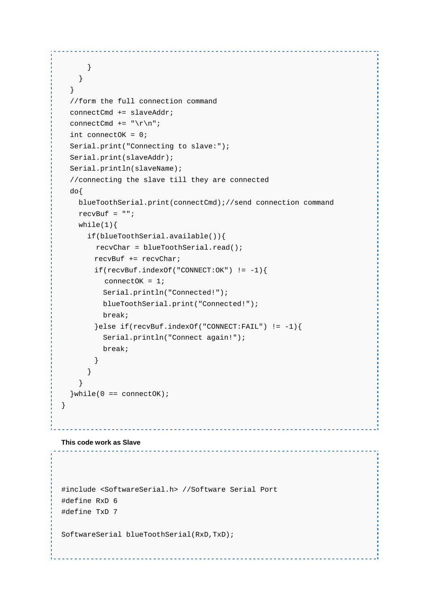```
 } 
    } 
   } 
   //form the full connection command 
  connectCmd += slaveAddr; 
 connectCmd += "\r \r \r \r";
   int connectOK = 0; 
  Serial.print("Connecting to slave:"); 
  Serial.print(slaveAddr); 
  Serial.println(slaveName); 
   //connecting the slave till they are connected 
  do{ 
    blueToothSerial.print(connectCmd);//send connection command 
    recvBuf = ""; 
   while(1) {
      if(blueToothSerial.available()){ 
        recvChar = blueToothSerial.read(); 
        recvBuf += recvChar; 
        if(recvBuf.indexOf("CONNECT:OK") != -1){ 
         connectOK = 1;
          Serial.println("Connected!"); 
          blueToothSerial.print("Connected!"); 
          break; 
        }else if(recvBuf.indexOf("CONNECT:FAIL") != -1){ 
          Serial.println("Connect again!"); 
          break; 
 } 
      } 
    } 
  \}while(0 == connectOK);} 
  This code work as Slave
                       #include <SoftwareSerial.h> //Software Serial Port
```
------------------------

```
#define RxD 6 
#define TxD 7
```
SoftwareSerial blueToothSerial(RxD,TxD);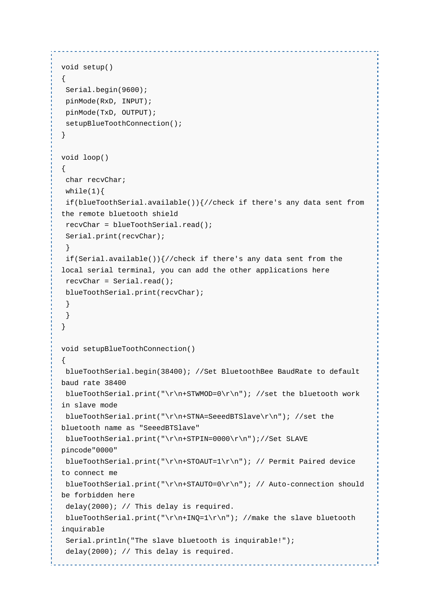```
void setup() 
{ 
  Serial.begin(9600); 
  pinMode(RxD, INPUT); 
  pinMode(TxD, OUTPUT); 
 setupBlueToothConnection();
} 
void loop() 
{ 
 char recvChar; 
 while(1)\{ if(blueToothSerial.available()){//check if there's any data sent from 
the remote bluetooth shield 
 recvChar = blueToothSerial.read(); 
  Serial.print(recvChar); 
  } 
 if(Serial.available())\frac{1}{2} (check if there's any data sent from the
local serial terminal, you can add the other applications here 
  recvChar = Serial.read(); 
  blueToothSerial.print(recvChar); 
  } 
  } 
} 
void setupBlueToothConnection() 
{ 
 blueToothSerial.begin(38400); //Set BluetoothBee BaudRate to default 
baud rate 38400 
blueToothSerial.print("\r\n+STWMOD=0\r\nu"); //set the bluetooth work
in slave mode 
 blueToothSerial.print("\r\n+STNA=SeeedBTSlave\r\n"); //set the 
bluetooth name as "SeeedBTSlave" 
  blueToothSerial.print("\r\n+STPIN=0000\r\n");//Set SLAVE 
pincode"0000" 
  blueToothSerial.print("\r\n+STOAUT=1\r\n"); // Permit Paired device 
to connect me 
blueToothSerial.print("\r\n+STAUTO=0\r\n"); // Auto-connection should
be forbidden here 
  delay(2000); // This delay is required. 
 blueToothSerial.print("\r\n+INQ=1\r\n"); //make the slave bluetooth
inquirable 
 Serial.println("The slave bluetooth is inquirable!"); 
  delay(2000); // This delay is required.
```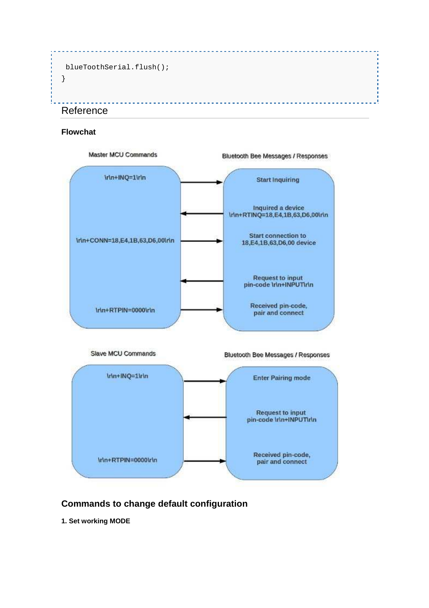```
 blueToothSerial.flush(); 
} 
                                    ___________________
Reference
```
#### **Flowchat**



# **Commands to change default configuration**

**1. Set working MODE**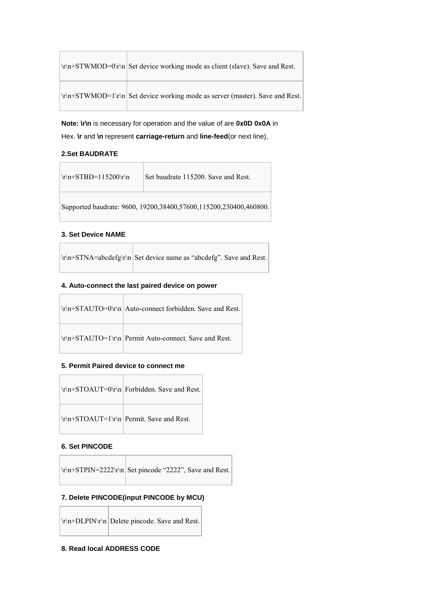|  | \r\n+STWMOD=0\r\n Set device working mode as client (slave). Save and Rest.  |
|--|------------------------------------------------------------------------------|
|  | \r\n+STWMOD=1\r\n Set device working mode as server (master). Save and Rest. |

**Note: \r\n** is necessary for operation and the value of are **0x0D 0x0A** in Hex. **\r** and **\n** represent **carriage-return** and **line-feed**(or next line),

#### **2.Set BAUDRATE**

| $\r\ln+STBD=115200\r\ln$ | Set baudrate 115200. Save and Rest.                               |
|--------------------------|-------------------------------------------------------------------|
|                          | Supported baudrate: 9600, 19200,38400,57600,115200,230400,460800. |

#### **3. Set Device NAME**

|  | $\vert \text{tr}\rangle$ in STNA=abcdefg\r\n Set device name as "abcdefg". Save and Rest. |
|--|-------------------------------------------------------------------------------------------|
|  |                                                                                           |

#### **4. Auto-connect the last paired device on power**

| \r\n+STAUTO=0\r\n Auto-connect forbidden. Save and Rest. |
|----------------------------------------------------------|
|                                                          |

#### **5. Permit Paired device to connect me**

| $\r\ln+STOAUT=1\n\ln\ Perm\ $ . Save and Rest. |
|------------------------------------------------|

#### **6. Set PINCODE**

#### **7. Delete PINCODE(input PINCODE by MCU)**

 $\trth \rightharpoonup$  Delete pincode. Save and Rest.

#### **8. Read local ADDRESS CODE**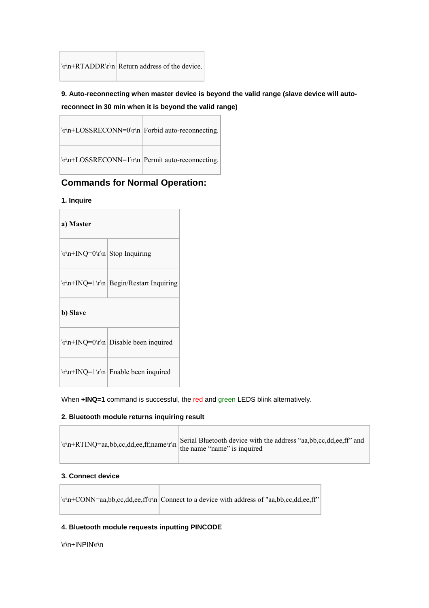| $ \r \n \r + RTADDR \r \n \r   Return address of the device.$ |  |
|---------------------------------------------------------------|--|

### **9. Auto-reconnecting when master device is beyond the valid range (slave device will autoreconnect in 30 min when it is beyond the valid range)**

| \r\n+LOSSRECONN=0\r\n   Forbid auto-reconnecting. |
|---------------------------------------------------|
| \r\n+LOSSRECONN=1\r\n   Permit auto-reconnecting. |

## **Commands for Normal Operation:**

#### **1. Inquire**

 $\overline{a}$ 

| a) Master                       |                                                           |  |
|---------------------------------|-----------------------------------------------------------|--|
| \r\n+INQ=0\r\n   Stop Inquiring |                                                           |  |
|                                 | $\r\ln\left(\frac{1}{r}\n\right)$ Begin/Restart Inquiring |  |
| b) Slave                        |                                                           |  |
|                                 |                                                           |  |
|                                 |                                                           |  |

When **+INQ=1** command is successful, the red and green LEDS blink alternatively.

#### **2. Bluetooth module returns inquiring result**

| $\vert \text{tr}\rangle$ n+RTINQ=aa,bb,cc,dd,ee,ff;name\r\n $\vert \text{term}\rangle$ the name "name" is inquired | Serial Bluetooth device with the address "aa, bb, cc, dd, ee, ff" and |
|--------------------------------------------------------------------------------------------------------------------|-----------------------------------------------------------------------|
|--------------------------------------------------------------------------------------------------------------------|-----------------------------------------------------------------------|

T.

#### **3. Connect device**

 $\Box$ 

|  | $\vert \text{tr}\text{m}+CONN=aa, bb, cc, dd, ee, ff\vert \text{r} \vert$ Connect to a device with address of "aa,bb,cc,dd,ee,ff" |
|--|-----------------------------------------------------------------------------------------------------------------------------------|
|  |                                                                                                                                   |

#### **4. Bluetooth module requests inputting PINCODE**

T

\r\n+INPIN\r\n